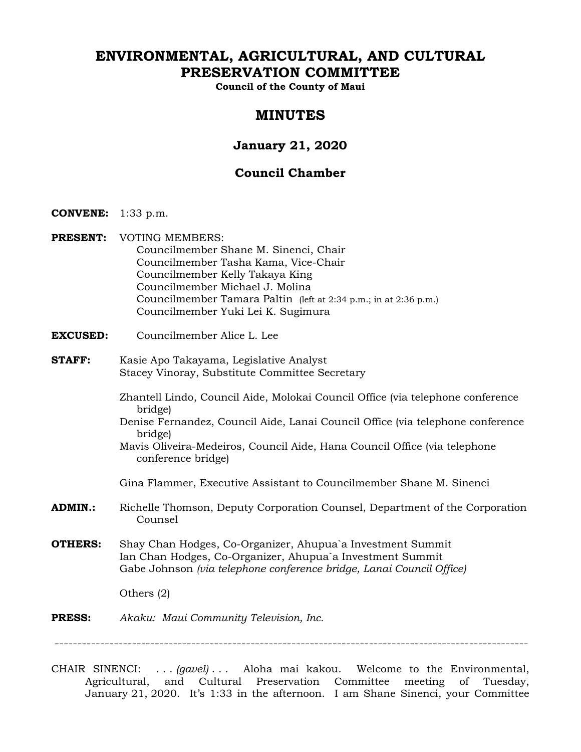# **ENVIRONMENTAL, AGRICULTURAL, AND CULTURAL PRESERVATION COMMITTEE**

**Council of the County of Maui** 

# **MINUTES**

# **January 21, 2020**

# **Council Chamber**

- **CONVENE:** 1:33 p.m.
- **PRESENT:** VOTING MEMBERS: Councilmember Shane M. Sinenci, Chair Councilmember Tasha Kama, Vice-Chair Councilmember Kelly Takaya King Councilmember Michael J. Molina Councilmember Tamara Paltin (left at 2:34 p.m.; in at 2:36 p.m.) Councilmember Yuki Lei K. Sugimura
- **EXCUSED:** Councilmember Alice L. Lee
- **STAFF:** Kasie Apo Takayama, Legislative Analyst Stacey Vinoray, Substitute Committee Secretary
	- Zhantell Lindo, Council Aide, Molokai Council Office (via telephone conference bridge)
	- Denise Fernandez, Council Aide, Lanai Council Office (via telephone conference bridge)
	- Mavis Oliveira-Medeiros, Council Aide, Hana Council Office (via telephone conference bridge)
	- Gina Flammer, Executive Assistant to Councilmember Shane M. Sinenci
- **ADMIN.:** Richelle Thomson, Deputy Corporation Counsel, Department of the Corporation Counsel
- **OTHERS:** Shay Chan Hodges, Co-Organizer, Ahupua`a Investment Summit Ian Chan Hodges, Co-Organizer, Ahupua`a Investment Summit Gabe Johnson *(via telephone conference bridge, Lanai Council Office)*

Others (2)

#### **PRESS:** *Akaku: Maui Community Television, Inc.*

--------------------------------------------------------------------------------------------------------

CHAIR SINENCI: . . . *(gavel)* . . . Aloha mai kakou. Welcome to the Environmental, Agricultural, and Cultural Preservation Committee meeting of Tuesday, January 21, 2020. It's 1:33 in the afternoon. I am Shane Sinenci, your Committee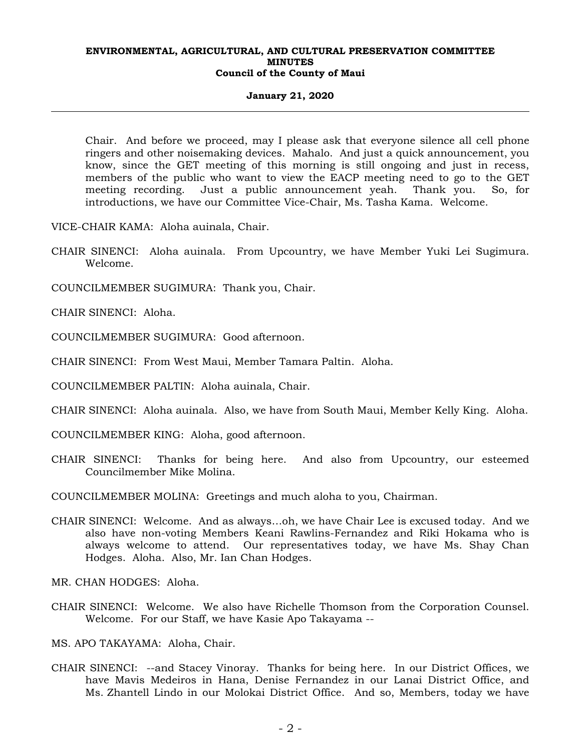### **January 21, 2020**

Chair. And before we proceed, may I please ask that everyone silence all cell phone ringers and other noisemaking devices. Mahalo. And just a quick announcement, you know, since the GET meeting of this morning is still ongoing and just in recess, members of the public who want to view the EACP meeting need to go to the GET meeting recording. Just a public announcement yeah. Thank you. So, for introductions, we have our Committee Vice-Chair, Ms. Tasha Kama. Welcome.

VICE-CHAIR KAMA: Aloha auinala, Chair.

- CHAIR SINENCI: Aloha auinala. From Upcountry, we have Member Yuki Lei Sugimura. Welcome.
- COUNCILMEMBER SUGIMURA: Thank you, Chair.

CHAIR SINENCI: Aloha.

COUNCILMEMBER SUGIMURA: Good afternoon.

CHAIR SINENCI: From West Maui, Member Tamara Paltin. Aloha.

COUNCILMEMBER PALTIN: Aloha auinala, Chair.

CHAIR SINENCI: Aloha auinala. Also, we have from South Maui, Member Kelly King. Aloha.

- COUNCILMEMBER KING: Aloha, good afternoon.
- CHAIR SINENCI: Thanks for being here. And also from Upcountry, our esteemed Councilmember Mike Molina.

COUNCILMEMBER MOLINA: Greetings and much aloha to you, Chairman.

CHAIR SINENCI: Welcome. And as always…oh, we have Chair Lee is excused today. And we also have non-voting Members Keani Rawlins-Fernandez and Riki Hokama who is always welcome to attend. Our representatives today, we have Ms. Shay Chan Hodges. Aloha. Also, Mr. Ian Chan Hodges.

MR. CHAN HODGES: Aloha.

CHAIR SINENCI: Welcome. We also have Richelle Thomson from the Corporation Counsel. Welcome. For our Staff, we have Kasie Apo Takayama --

MS. APO TAKAYAMA: Aloha, Chair.

CHAIR SINENCI: --and Stacey Vinoray. Thanks for being here. In our District Offices, we have Mavis Medeiros in Hana, Denise Fernandez in our Lanai District Office, and Ms. Zhantell Lindo in our Molokai District Office. And so, Members, today we have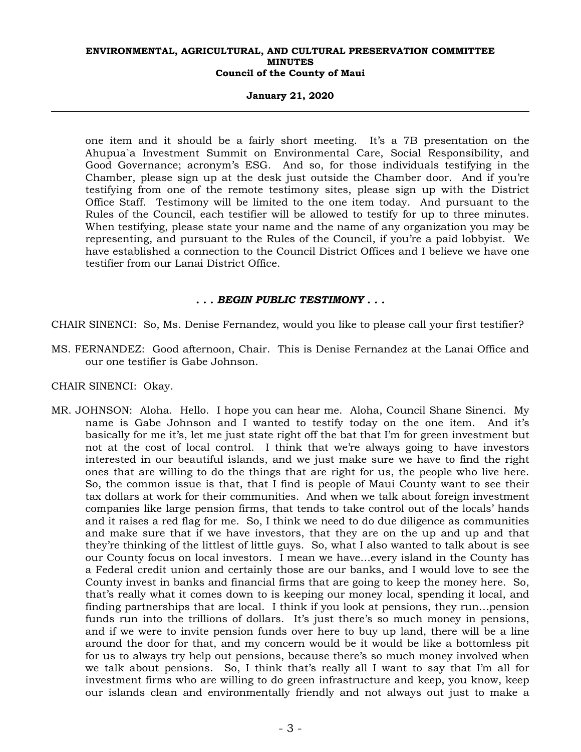### **January 21, 2020**

one item and it should be a fairly short meeting. It's a 7B presentation on the Ahupua`a Investment Summit on Environmental Care, Social Responsibility, and Good Governance; acronym's ESG. And so, for those individuals testifying in the Chamber, please sign up at the desk just outside the Chamber door. And if you're testifying from one of the remote testimony sites, please sign up with the District Office Staff. Testimony will be limited to the one item today. And pursuant to the Rules of the Council, each testifier will be allowed to testify for up to three minutes. When testifying, please state your name and the name of any organization you may be representing, and pursuant to the Rules of the Council, if you're a paid lobbyist. We have established a connection to the Council District Offices and I believe we have one testifier from our Lanai District Office.

### *. . . BEGIN PUBLIC TESTIMONY . . .*

CHAIR SINENCI: So, Ms. Denise Fernandez, would you like to please call your first testifier?

MS. FERNANDEZ: Good afternoon, Chair. This is Denise Fernandez at the Lanai Office and our one testifier is Gabe Johnson.

### CHAIR SINENCI: Okay.

MR. JOHNSON: Aloha. Hello. I hope you can hear me. Aloha, Council Shane Sinenci. My name is Gabe Johnson and I wanted to testify today on the one item. And it's basically for me it's, let me just state right off the bat that I'm for green investment but not at the cost of local control. I think that we're always going to have investors interested in our beautiful islands, and we just make sure we have to find the right ones that are willing to do the things that are right for us, the people who live here. So, the common issue is that, that I find is people of Maui County want to see their tax dollars at work for their communities. And when we talk about foreign investment companies like large pension firms, that tends to take control out of the locals' hands and it raises a red flag for me. So, I think we need to do due diligence as communities and make sure that if we have investors, that they are on the up and up and that they're thinking of the littlest of little guys. So, what I also wanted to talk about is see our County focus on local investors. I mean we have…every island in the County has a Federal credit union and certainly those are our banks, and I would love to see the County invest in banks and financial firms that are going to keep the money here. So, that's really what it comes down to is keeping our money local, spending it local, and finding partnerships that are local. I think if you look at pensions, they run…pension funds run into the trillions of dollars. It's just there's so much money in pensions, and if we were to invite pension funds over here to buy up land, there will be a line around the door for that, and my concern would be it would be like a bottomless pit for us to always try help out pensions, because there's so much money involved when we talk about pensions. So, I think that's really all I want to say that I'm all for investment firms who are willing to do green infrastructure and keep, you know, keep our islands clean and environmentally friendly and not always out just to make a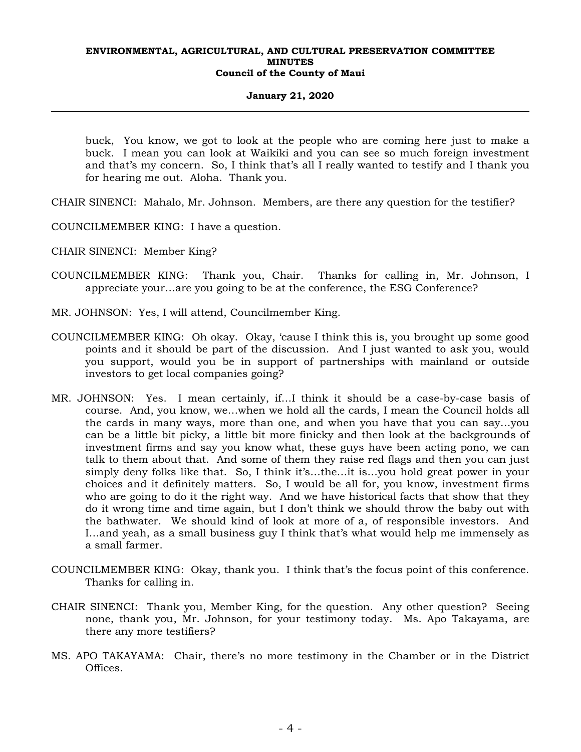### **January 21, 2020**

buck, You know, we got to look at the people who are coming here just to make a buck. I mean you can look at Waikiki and you can see so much foreign investment and that's my concern. So, I think that's all I really wanted to testify and I thank you for hearing me out. Aloha. Thank you.

CHAIR SINENCI: Mahalo, Mr. Johnson. Members, are there any question for the testifier?

COUNCILMEMBER KING: I have a question.

CHAIR SINENCI: Member King?

- COUNCILMEMBER KING: Thank you, Chair. Thanks for calling in, Mr. Johnson, I appreciate your…are you going to be at the conference, the ESG Conference?
- MR. JOHNSON: Yes, I will attend, Councilmember King.
- COUNCILMEMBER KING: Oh okay. Okay, 'cause I think this is, you brought up some good points and it should be part of the discussion. And I just wanted to ask you, would you support, would you be in support of partnerships with mainland or outside investors to get local companies going?
- MR. JOHNSON: Yes. I mean certainly, if…I think it should be a case-by-case basis of course. And, you know, we…when we hold all the cards, I mean the Council holds all the cards in many ways, more than one, and when you have that you can say…you can be a little bit picky, a little bit more finicky and then look at the backgrounds of investment firms and say you know what, these guys have been acting pono, we can talk to them about that. And some of them they raise red flags and then you can just simply deny folks like that. So, I think it's…the…it is…you hold great power in your choices and it definitely matters. So, I would be all for, you know, investment firms who are going to do it the right way. And we have historical facts that show that they do it wrong time and time again, but I don't think we should throw the baby out with the bathwater. We should kind of look at more of a, of responsible investors. And I…and yeah, as a small business guy I think that's what would help me immensely as a small farmer.
- COUNCILMEMBER KING: Okay, thank you. I think that's the focus point of this conference. Thanks for calling in.
- CHAIR SINENCI: Thank you, Member King, for the question. Any other question? Seeing none, thank you, Mr. Johnson, for your testimony today. Ms. Apo Takayama, are there any more testifiers?
- MS. APO TAKAYAMA: Chair, there's no more testimony in the Chamber or in the District Offices.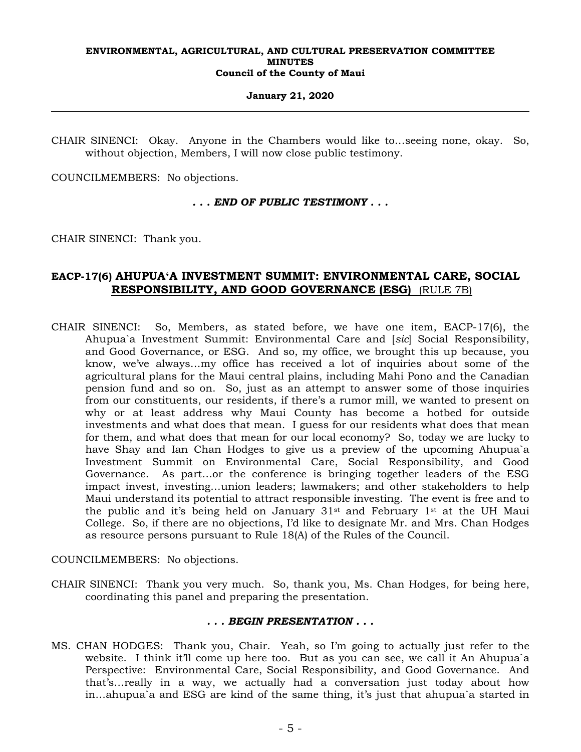### **January 21, 2020**

CHAIR SINENCI: Okay. Anyone in the Chambers would like to…seeing none, okay. So, without objection, Members, I will now close public testimony.

COUNCILMEMBERS: No objections.

### *. . . END OF PUBLIC TESTIMONY . . .*

CHAIR SINENCI: Thank you.

# **EACP-17(6) AHUPUAʻA INVESTMENT SUMMIT: ENVIRONMENTAL CARE, SOCIAL RESPONSIBILITY, AND GOOD GOVERNANCE (ESG)** (RULE 7B)

CHAIR SINENCI: So, Members, as stated before, we have one item, EACP-17(6), the Ahupua`a Investment Summit: Environmental Care and [*sic*] Social Responsibility, and Good Governance, or ESG. And so, my office, we brought this up because, you know, we've always…my office has received a lot of inquiries about some of the agricultural plans for the Maui central plains, including Mahi Pono and the Canadian pension fund and so on. So, just as an attempt to answer some of those inquiries from our constituents, our residents, if there's a rumor mill, we wanted to present on why or at least address why Maui County has become a hotbed for outside investments and what does that mean. I guess for our residents what does that mean for them, and what does that mean for our local economy? So, today we are lucky to have Shay and Ian Chan Hodges to give us a preview of the upcoming Ahupua`a Investment Summit on Environmental Care, Social Responsibility, and Good Governance. As part…or the conference is bringing together leaders of the ESG impact invest, investing…union leaders; lawmakers; and other stakeholders to help Maui understand its potential to attract responsible investing. The event is free and to the public and it's being held on January  $31^{st}$  and February  $1^{st}$  at the UH Maui College. So, if there are no objections, I'd like to designate Mr. and Mrs. Chan Hodges as resource persons pursuant to Rule 18(A) of the Rules of the Council.

COUNCILMEMBERS: No objections.

CHAIR SINENCI: Thank you very much. So, thank you, Ms. Chan Hodges, for being here, coordinating this panel and preparing the presentation.

### *. . . BEGIN PRESENTATION . . .*

MS. CHAN HODGES: Thank you, Chair. Yeah, so I'm going to actually just refer to the website. I think it'll come up here too. But as you can see, we call it An Ahupua`a Perspective: Environmental Care, Social Responsibility, and Good Governance. And that's…really in a way, we actually had a conversation just today about how in…ahupua`a and ESG are kind of the same thing, it's just that ahupua`a started in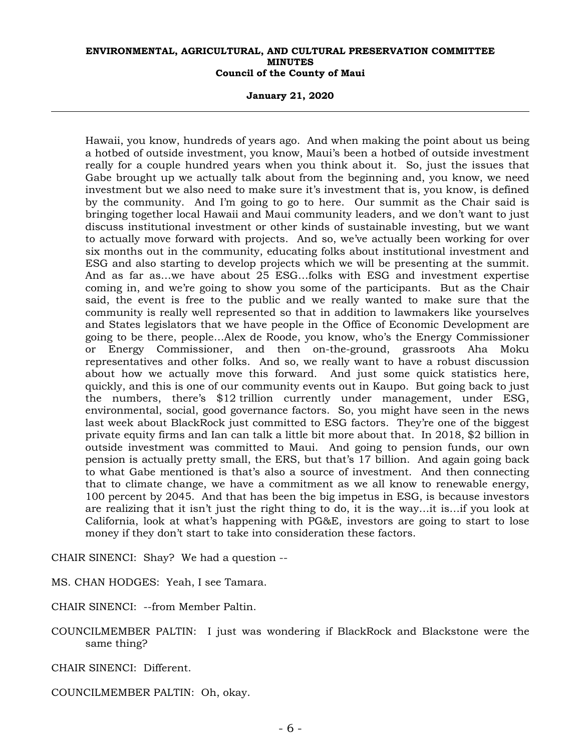**January 21, 2020** 

Hawaii, you know, hundreds of years ago. And when making the point about us being a hotbed of outside investment, you know, Maui's been a hotbed of outside investment really for a couple hundred years when you think about it. So, just the issues that Gabe brought up we actually talk about from the beginning and, you know, we need investment but we also need to make sure it's investment that is, you know, is defined by the community. And I'm going to go to here. Our summit as the Chair said is bringing together local Hawaii and Maui community leaders, and we don't want to just discuss institutional investment or other kinds of sustainable investing, but we want to actually move forward with projects. And so, we've actually been working for over six months out in the community, educating folks about institutional investment and ESG and also starting to develop projects which we will be presenting at the summit. And as far as…we have about 25 ESG…folks with ESG and investment expertise coming in, and we're going to show you some of the participants. But as the Chair said, the event is free to the public and we really wanted to make sure that the community is really well represented so that in addition to lawmakers like yourselves and States legislators that we have people in the Office of Economic Development are going to be there, people…Alex de Roode, you know, who's the Energy Commissioner or Energy Commissioner, and then on-the-ground, grassroots Aha Moku representatives and other folks. And so, we really want to have a robust discussion about how we actually move this forward. And just some quick statistics here, quickly, and this is one of our community events out in Kaupo. But going back to just the numbers, there's \$12 trillion currently under management, under ESG, environmental, social, good governance factors. So, you might have seen in the news last week about BlackRock just committed to ESG factors. They're one of the biggest private equity firms and Ian can talk a little bit more about that. In 2018, \$2 billion in outside investment was committed to Maui. And going to pension funds, our own pension is actually pretty small, the ERS, but that's 17 billion. And again going back to what Gabe mentioned is that's also a source of investment. And then connecting that to climate change, we have a commitment as we all know to renewable energy, 100 percent by 2045. And that has been the big impetus in ESG, is because investors are realizing that it isn't just the right thing to do, it is the way…it is…if you look at California, look at what's happening with PG&E, investors are going to start to lose money if they don't start to take into consideration these factors.

CHAIR SINENCI: Shay? We had a question --

MS. CHAN HODGES: Yeah, I see Tamara.

CHAIR SINENCI: --from Member Paltin.

COUNCILMEMBER PALTIN: I just was wondering if BlackRock and Blackstone were the same thing?

CHAIR SINENCI: Different.

COUNCILMEMBER PALTIN: Oh, okay.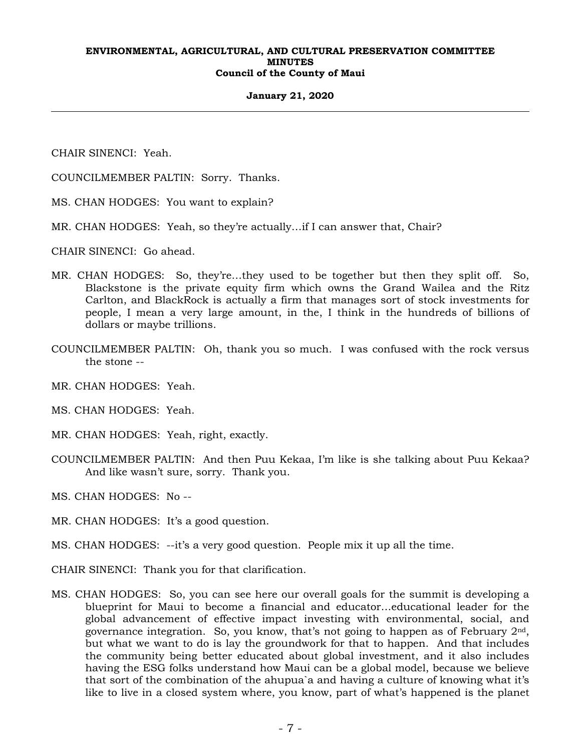### **January 21, 2020**

CHAIR SINENCI: Yeah.

COUNCILMEMBER PALTIN: Sorry. Thanks.

- MS. CHAN HODGES: You want to explain?
- MR. CHAN HODGES: Yeah, so they're actually…if I can answer that, Chair?
- CHAIR SINENCI: Go ahead.
- MR. CHAN HODGES: So, they're…they used to be together but then they split off. So, Blackstone is the private equity firm which owns the Grand Wailea and the Ritz Carlton, and BlackRock is actually a firm that manages sort of stock investments for people, I mean a very large amount, in the, I think in the hundreds of billions of dollars or maybe trillions.
- COUNCILMEMBER PALTIN: Oh, thank you so much. I was confused with the rock versus the stone --
- MR. CHAN HODGES: Yeah.
- MS. CHAN HODGES: Yeah.
- MR. CHAN HODGES: Yeah, right, exactly.
- COUNCILMEMBER PALTIN: And then Puu Kekaa, I'm like is she talking about Puu Kekaa? And like wasn't sure, sorry. Thank you.
- MS. CHAN HODGES: No --
- MR. CHAN HODGES: It's a good question.
- MS. CHAN HODGES: --it's a very good question. People mix it up all the time.
- CHAIR SINENCI: Thank you for that clarification.
- MS. CHAN HODGES: So, you can see here our overall goals for the summit is developing a blueprint for Maui to become a financial and educator…educational leader for the global advancement of effective impact investing with environmental, social, and governance integration. So, you know, that's not going to happen as of February 2nd, but what we want to do is lay the groundwork for that to happen. And that includes the community being better educated about global investment, and it also includes having the ESG folks understand how Maui can be a global model, because we believe that sort of the combination of the ahupua`a and having a culture of knowing what it's like to live in a closed system where, you know, part of what's happened is the planet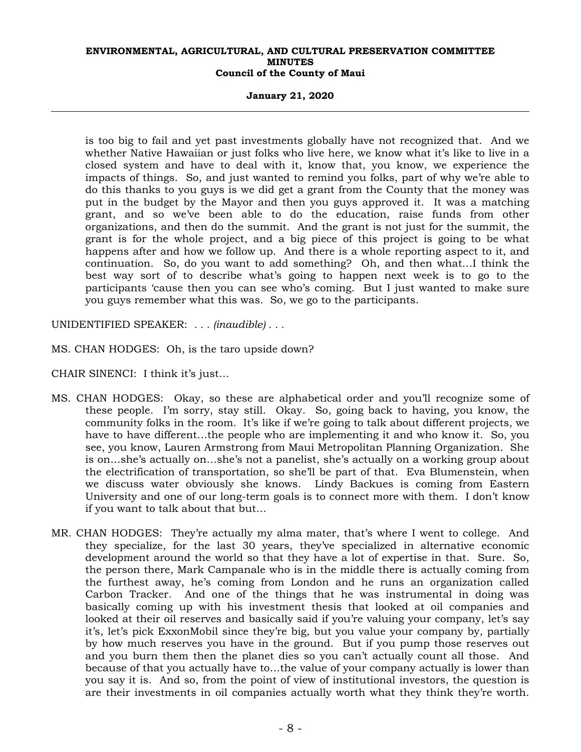### **January 21, 2020**

is too big to fail and yet past investments globally have not recognized that. And we whether Native Hawaiian or just folks who live here, we know what it's like to live in a closed system and have to deal with it, know that, you know, we experience the impacts of things. So, and just wanted to remind you folks, part of why we're able to do this thanks to you guys is we did get a grant from the County that the money was put in the budget by the Mayor and then you guys approved it. It was a matching grant, and so we've been able to do the education, raise funds from other organizations, and then do the summit. And the grant is not just for the summit, the grant is for the whole project, and a big piece of this project is going to be what happens after and how we follow up. And there is a whole reporting aspect to it, and continuation. So, do you want to add something? Oh, and then what…I think the best way sort of to describe what's going to happen next week is to go to the participants 'cause then you can see who's coming. But I just wanted to make sure you guys remember what this was. So, we go to the participants.

UNIDENTIFIED SPEAKER: *. . . (inaudible) . . .*

- MS. CHAN HODGES: Oh, is the taro upside down?
- CHAIR SINENCI: I think it's just…
- MS. CHAN HODGES: Okay, so these are alphabetical order and you'll recognize some of these people. I'm sorry, stay still. Okay. So, going back to having, you know, the community folks in the room. It's like if we're going to talk about different projects, we have to have different…the people who are implementing it and who know it. So, you see, you know, Lauren Armstrong from Maui Metropolitan Planning Organization. She is on…she's actually on…she's not a panelist, she's actually on a working group about the electrification of transportation, so she'll be part of that. Eva Blumenstein, when we discuss water obviously she knows. Lindy Backues is coming from Eastern University and one of our long-term goals is to connect more with them. I don't know if you want to talk about that but…
- MR. CHAN HODGES: They're actually my alma mater, that's where I went to college. And they specialize, for the last 30 years, they've specialized in alternative economic development around the world so that they have a lot of expertise in that. Sure. So, the person there, Mark Campanale who is in the middle there is actually coming from the furthest away, he's coming from London and he runs an organization called Carbon Tracker. And one of the things that he was instrumental in doing was basically coming up with his investment thesis that looked at oil companies and looked at their oil reserves and basically said if you're valuing your company, let's say it's, let's pick ExxonMobil since they're big, but you value your company by, partially by how much reserves you have in the ground. But if you pump those reserves out and you burn them then the planet dies so you can't actually count all those. And because of that you actually have to…the value of your company actually is lower than you say it is. And so, from the point of view of institutional investors, the question is are their investments in oil companies actually worth what they think they're worth.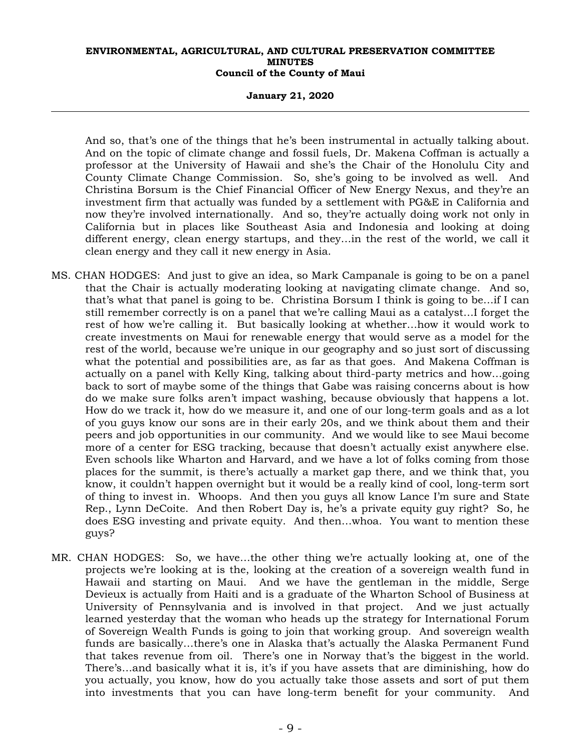### **January 21, 2020**

And so, that's one of the things that he's been instrumental in actually talking about. And on the topic of climate change and fossil fuels, Dr. Makena Coffman is actually a professor at the University of Hawaii and she's the Chair of the Honolulu City and County Climate Change Commission. So, she's going to be involved as well. And Christina Borsum is the Chief Financial Officer of New Energy Nexus, and they're an investment firm that actually was funded by a settlement with PG&E in California and now they're involved internationally. And so, they're actually doing work not only in California but in places like Southeast Asia and Indonesia and looking at doing different energy, clean energy startups, and they…in the rest of the world, we call it clean energy and they call it new energy in Asia.

- MS. CHAN HODGES: And just to give an idea, so Mark Campanale is going to be on a panel that the Chair is actually moderating looking at navigating climate change. And so, that's what that panel is going to be. Christina Borsum I think is going to be…if I can still remember correctly is on a panel that we're calling Maui as a catalyst…I forget the rest of how we're calling it. But basically looking at whether…how it would work to create investments on Maui for renewable energy that would serve as a model for the rest of the world, because we're unique in our geography and so just sort of discussing what the potential and possibilities are, as far as that goes. And Makena Coffman is actually on a panel with Kelly King, talking about third-party metrics and how…going back to sort of maybe some of the things that Gabe was raising concerns about is how do we make sure folks aren't impact washing, because obviously that happens a lot. How do we track it, how do we measure it, and one of our long-term goals and as a lot of you guys know our sons are in their early 20s, and we think about them and their peers and job opportunities in our community. And we would like to see Maui become more of a center for ESG tracking, because that doesn't actually exist anywhere else. Even schools like Wharton and Harvard, and we have a lot of folks coming from those places for the summit, is there's actually a market gap there, and we think that, you know, it couldn't happen overnight but it would be a really kind of cool, long-term sort of thing to invest in. Whoops. And then you guys all know Lance I'm sure and State Rep., Lynn DeCoite. And then Robert Day is, he's a private equity guy right? So, he does ESG investing and private equity. And then…whoa. You want to mention these guys?
- MR. CHAN HODGES: So, we have…the other thing we're actually looking at, one of the projects we're looking at is the, looking at the creation of a sovereign wealth fund in Hawaii and starting on Maui. And we have the gentleman in the middle, Serge Devieux is actually from Haiti and is a graduate of the Wharton School of Business at University of Pennsylvania and is involved in that project. And we just actually learned yesterday that the woman who heads up the strategy for International Forum of Sovereign Wealth Funds is going to join that working group. And sovereign wealth funds are basically…there's one in Alaska that's actually the Alaska Permanent Fund that takes revenue from oil. There's one in Norway that's the biggest in the world. There's…and basically what it is, it's if you have assets that are diminishing, how do you actually, you know, how do you actually take those assets and sort of put them into investments that you can have long-term benefit for your community. And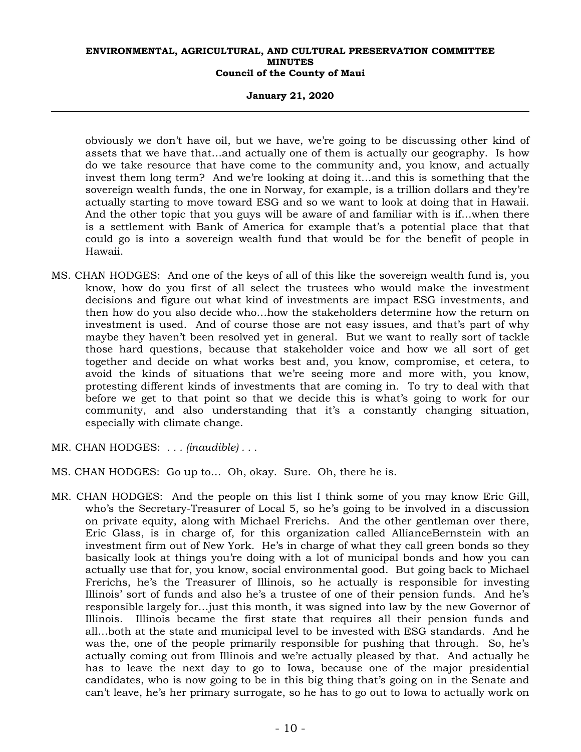### **January 21, 2020**

obviously we don't have oil, but we have, we're going to be discussing other kind of assets that we have that…and actually one of them is actually our geography. Is how do we take resource that have come to the community and, you know, and actually invest them long term? And we're looking at doing it…and this is something that the sovereign wealth funds, the one in Norway, for example, is a trillion dollars and they're actually starting to move toward ESG and so we want to look at doing that in Hawaii. And the other topic that you guys will be aware of and familiar with is if…when there is a settlement with Bank of America for example that's a potential place that that could go is into a sovereign wealth fund that would be for the benefit of people in Hawaii.

- MS. CHAN HODGES: And one of the keys of all of this like the sovereign wealth fund is, you know, how do you first of all select the trustees who would make the investment decisions and figure out what kind of investments are impact ESG investments, and then how do you also decide who…how the stakeholders determine how the return on investment is used. And of course those are not easy issues, and that's part of why maybe they haven't been resolved yet in general. But we want to really sort of tackle those hard questions, because that stakeholder voice and how we all sort of get together and decide on what works best and, you know, compromise, et cetera, to avoid the kinds of situations that we're seeing more and more with, you know, protesting different kinds of investments that are coming in. To try to deal with that before we get to that point so that we decide this is what's going to work for our community, and also understanding that it's a constantly changing situation, especially with climate change.
- MR. CHAN HODGES: *. . . (inaudible) . . .*
- MS. CHAN HODGES: Go up to… Oh, okay. Sure. Oh, there he is.
- MR. CHAN HODGES: And the people on this list I think some of you may know Eric Gill, who's the Secretary-Treasurer of Local 5, so he's going to be involved in a discussion on private equity, along with Michael Frerichs. And the other gentleman over there, Eric Glass, is in charge of, for this organization called AllianceBernstein with an investment firm out of New York. He's in charge of what they call green bonds so they basically look at things you're doing with a lot of municipal bonds and how you can actually use that for, you know, social environmental good. But going back to Michael Frerichs, he's the Treasurer of Illinois, so he actually is responsible for investing Illinois' sort of funds and also he's a trustee of one of their pension funds. And he's responsible largely for…just this month, it was signed into law by the new Governor of Illinois. Illinois became the first state that requires all their pension funds and all…both at the state and municipal level to be invested with ESG standards. And he was the, one of the people primarily responsible for pushing that through. So, he's actually coming out from Illinois and we're actually pleased by that. And actually he has to leave the next day to go to Iowa, because one of the major presidential candidates, who is now going to be in this big thing that's going on in the Senate and can't leave, he's her primary surrogate, so he has to go out to Iowa to actually work on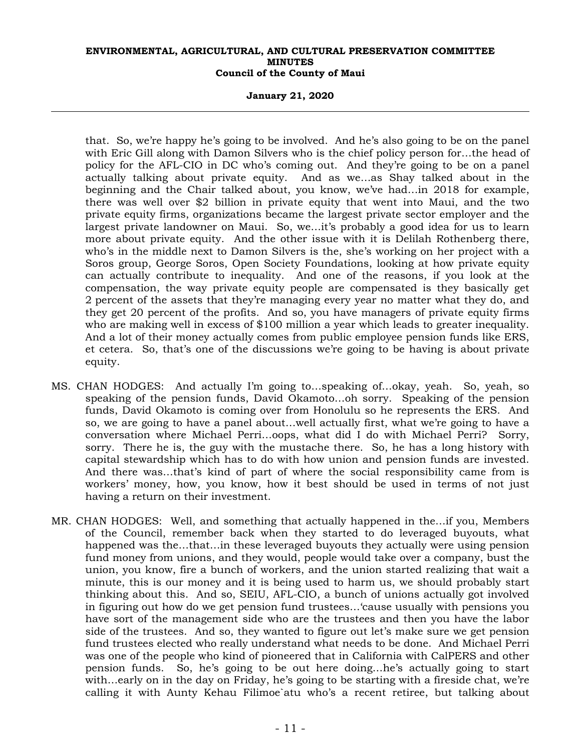### **January 21, 2020**

that. So, we're happy he's going to be involved. And he's also going to be on the panel with Eric Gill along with Damon Silvers who is the chief policy person for…the head of policy for the AFL-CIO in DC who's coming out. And they're going to be on a panel actually talking about private equity. And as we…as Shay talked about in the beginning and the Chair talked about, you know, we've had…in 2018 for example, there was well over \$2 billion in private equity that went into Maui, and the two private equity firms, organizations became the largest private sector employer and the largest private landowner on Maui. So, we…it's probably a good idea for us to learn more about private equity. And the other issue with it is Delilah Rothenberg there, who's in the middle next to Damon Silvers is the, she's working on her project with a Soros group, George Soros, Open Society Foundations, looking at how private equity can actually contribute to inequality. And one of the reasons, if you look at the compensation, the way private equity people are compensated is they basically get 2 percent of the assets that they're managing every year no matter what they do, and they get 20 percent of the profits. And so, you have managers of private equity firms who are making well in excess of \$100 million a year which leads to greater inequality. And a lot of their money actually comes from public employee pension funds like ERS, et cetera. So, that's one of the discussions we're going to be having is about private equity.

- MS. CHAN HODGES: And actually I'm going to…speaking of…okay, yeah. So, yeah, so speaking of the pension funds, David Okamoto…oh sorry. Speaking of the pension funds, David Okamoto is coming over from Honolulu so he represents the ERS. And so, we are going to have a panel about…well actually first, what we're going to have a conversation where Michael Perri…oops, what did I do with Michael Perri? Sorry, sorry. There he is, the guy with the mustache there. So, he has a long history with capital stewardship which has to do with how union and pension funds are invested. And there was…that's kind of part of where the social responsibility came from is workers' money, how, you know, how it best should be used in terms of not just having a return on their investment.
- MR. CHAN HODGES: Well, and something that actually happened in the…if you, Members of the Council, remember back when they started to do leveraged buyouts, what happened was the…that…in these leveraged buyouts they actually were using pension fund money from unions, and they would, people would take over a company, bust the union, you know, fire a bunch of workers, and the union started realizing that wait a minute, this is our money and it is being used to harm us, we should probably start thinking about this. And so, SEIU, AFL-CIO, a bunch of unions actually got involved in figuring out how do we get pension fund trustees…'cause usually with pensions you have sort of the management side who are the trustees and then you have the labor side of the trustees. And so, they wanted to figure out let's make sure we get pension fund trustees elected who really understand what needs to be done. And Michael Perri was one of the people who kind of pioneered that in California with CalPERS and other pension funds. So, he's going to be out here doing…he's actually going to start with…early on in the day on Friday, he's going to be starting with a fireside chat, we're calling it with Aunty Kehau Filimoe`atu who's a recent retiree, but talking about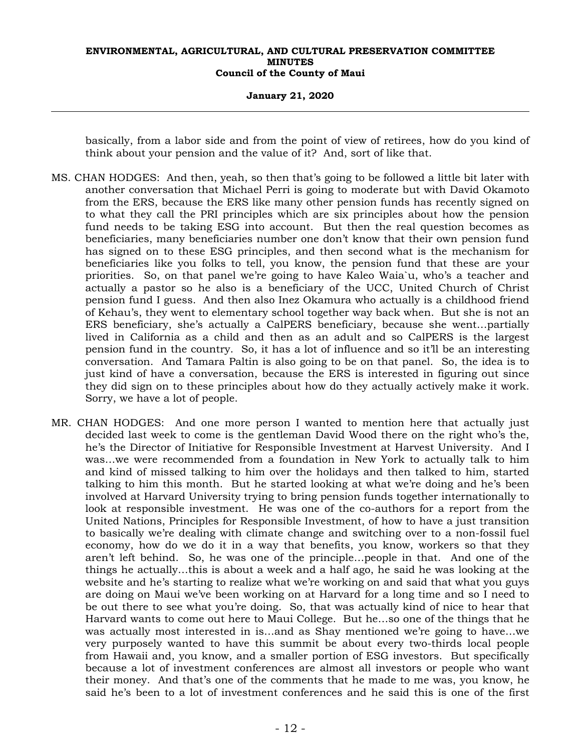#### **January 21, 2020**

basically, from a labor side and from the point of view of retirees, how do you kind of think about your pension and the value of it? And, sort of like that.

- MS. CHAN HODGES: And then, yeah, so then that's going to be followed a little bit later with another conversation that Michael Perri is going to moderate but with David Okamoto from the ERS, because the ERS like many other pension funds has recently signed on to what they call the PRI principles which are six principles about how the pension fund needs to be taking ESG into account. But then the real question becomes as beneficiaries, many beneficiaries number one don't know that their own pension fund has signed on to these ESG principles, and then second what is the mechanism for beneficiaries like you folks to tell, you know, the pension fund that these are your priorities. So, on that panel we're going to have Kaleo Waia`u, who's a teacher and actually a pastor so he also is a beneficiary of the UCC, United Church of Christ pension fund I guess. And then also Inez Okamura who actually is a childhood friend of Kehau's, they went to elementary school together way back when. But she is not an ERS beneficiary, she's actually a CalPERS beneficiary, because she went…partially lived in California as a child and then as an adult and so CalPERS is the largest pension fund in the country. So, it has a lot of influence and so it'll be an interesting conversation. And Tamara Paltin is also going to be on that panel. So, the idea is to just kind of have a conversation, because the ERS is interested in figuring out since they did sign on to these principles about how do they actually actively make it work. Sorry, we have a lot of people.
- MR. CHAN HODGES: And one more person I wanted to mention here that actually just decided last week to come is the gentleman David Wood there on the right who's the, he's the Director of Initiative for Responsible Investment at Harvest University. And I was…we were recommended from a foundation in New York to actually talk to him and kind of missed talking to him over the holidays and then talked to him, started talking to him this month. But he started looking at what we're doing and he's been involved at Harvard University trying to bring pension funds together internationally to look at responsible investment. He was one of the co-authors for a report from the United Nations, Principles for Responsible Investment, of how to have a just transition to basically we're dealing with climate change and switching over to a non-fossil fuel economy, how do we do it in a way that benefits, you know, workers so that they aren't left behind. So, he was one of the principle…people in that. And one of the things he actually…this is about a week and a half ago, he said he was looking at the website and he's starting to realize what we're working on and said that what you guys are doing on Maui we've been working on at Harvard for a long time and so I need to be out there to see what you're doing. So, that was actually kind of nice to hear that Harvard wants to come out here to Maui College. But he…so one of the things that he was actually most interested in is…and as Shay mentioned we're going to have…we very purposely wanted to have this summit be about every two-thirds local people from Hawaii and, you know, and a smaller portion of ESG investors. But specifically because a lot of investment conferences are almost all investors or people who want their money. And that's one of the comments that he made to me was, you know, he said he's been to a lot of investment conferences and he said this is one of the first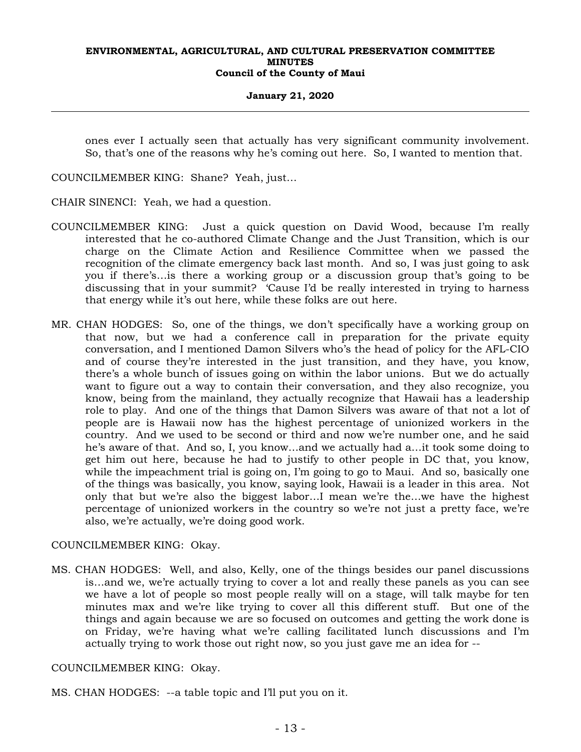### **January 21, 2020**

ones ever I actually seen that actually has very significant community involvement. So, that's one of the reasons why he's coming out here. So, I wanted to mention that.

COUNCILMEMBER KING: Shane? Yeah, just…

CHAIR SINENCI: Yeah, we had a question.

- COUNCILMEMBER KING: Just a quick question on David Wood, because I'm really interested that he co-authored Climate Change and the Just Transition, which is our charge on the Climate Action and Resilience Committee when we passed the recognition of the climate emergency back last month. And so, I was just going to ask you if there's…is there a working group or a discussion group that's going to be discussing that in your summit? 'Cause I'd be really interested in trying to harness that energy while it's out here, while these folks are out here.
- MR. CHAN HODGES: So, one of the things, we don't specifically have a working group on that now, but we had a conference call in preparation for the private equity conversation, and I mentioned Damon Silvers who's the head of policy for the AFL-CIO and of course they're interested in the just transition, and they have, you know, there's a whole bunch of issues going on within the labor unions. But we do actually want to figure out a way to contain their conversation, and they also recognize, you know, being from the mainland, they actually recognize that Hawaii has a leadership role to play. And one of the things that Damon Silvers was aware of that not a lot of people are is Hawaii now has the highest percentage of unionized workers in the country. And we used to be second or third and now we're number one, and he said he's aware of that. And so, I, you know…and we actually had a…it took some doing to get him out here, because he had to justify to other people in DC that, you know, while the impeachment trial is going on, I'm going to go to Maui. And so, basically one of the things was basically, you know, saying look, Hawaii is a leader in this area. Not only that but we're also the biggest labor…I mean we're the…we have the highest percentage of unionized workers in the country so we're not just a pretty face, we're also, we're actually, we're doing good work.

### COUNCILMEMBER KING: Okay.

MS. CHAN HODGES: Well, and also, Kelly, one of the things besides our panel discussions is…and we, we're actually trying to cover a lot and really these panels as you can see we have a lot of people so most people really will on a stage, will talk maybe for ten minutes max and we're like trying to cover all this different stuff. But one of the things and again because we are so focused on outcomes and getting the work done is on Friday, we're having what we're calling facilitated lunch discussions and I'm actually trying to work those out right now, so you just gave me an idea for --

### COUNCILMEMBER KING: Okay.

MS. CHAN HODGES: --a table topic and I'll put you on it.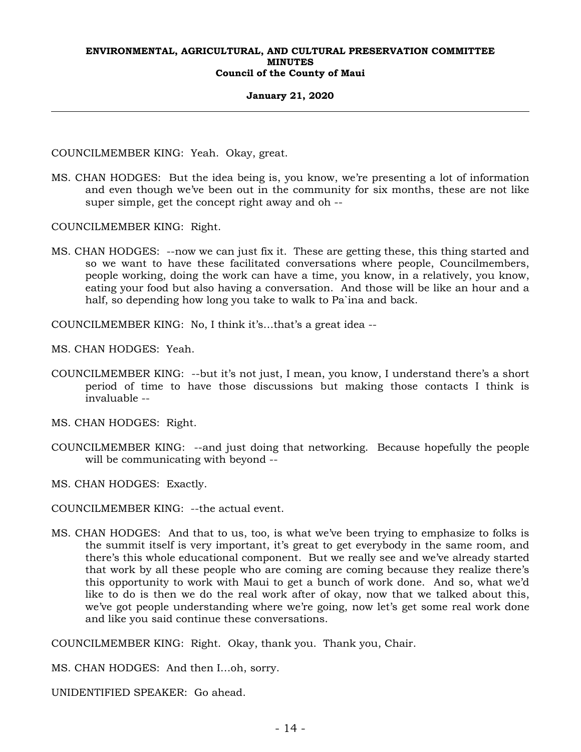#### **January 21, 2020**

COUNCILMEMBER KING: Yeah. Okay, great.

MS. CHAN HODGES: But the idea being is, you know, we're presenting a lot of information and even though we've been out in the community for six months, these are not like super simple, get the concept right away and oh --

COUNCILMEMBER KING: Right.

MS. CHAN HODGES: --now we can just fix it. These are getting these, this thing started and so we want to have these facilitated conversations where people, Councilmembers, people working, doing the work can have a time, you know, in a relatively, you know, eating your food but also having a conversation. And those will be like an hour and a half, so depending how long you take to walk to Pa`ina and back.

COUNCILMEMBER KING: No, I think it's…that's a great idea --

MS. CHAN HODGES: Yeah.

COUNCILMEMBER KING: --but it's not just, I mean, you know, I understand there's a short period of time to have those discussions but making those contacts I think is invaluable --

MS. CHAN HODGES: Right.

COUNCILMEMBER KING: --and just doing that networking. Because hopefully the people will be communicating with beyond --

MS. CHAN HODGES: Exactly.

COUNCILMEMBER KING: --the actual event.

MS. CHAN HODGES: And that to us, too, is what we've been trying to emphasize to folks is the summit itself is very important, it's great to get everybody in the same room, and there's this whole educational component. But we really see and we've already started that work by all these people who are coming are coming because they realize there's this opportunity to work with Maui to get a bunch of work done. And so, what we'd like to do is then we do the real work after of okay, now that we talked about this, we've got people understanding where we're going, now let's get some real work done and like you said continue these conversations.

COUNCILMEMBER KING: Right. Okay, thank you. Thank you, Chair.

MS. CHAN HODGES: And then I…oh, sorry.

UNIDENTIFIED SPEAKER: Go ahead.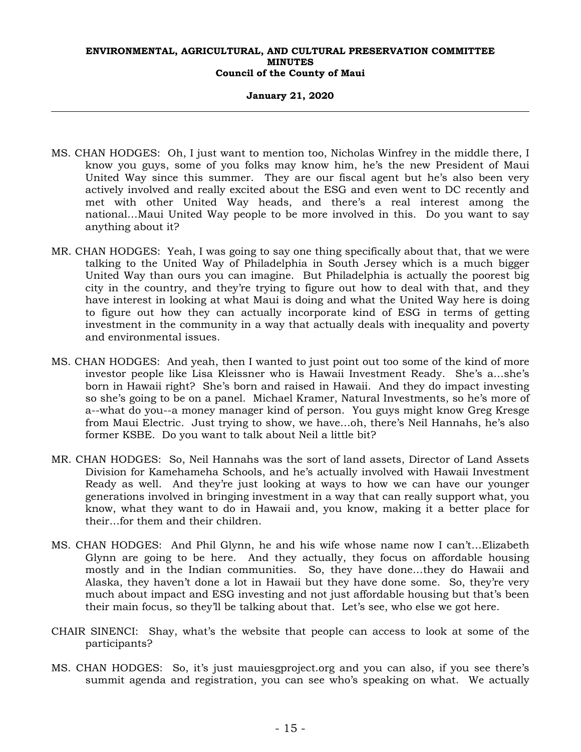### **January 21, 2020**

- MS. CHAN HODGES: Oh, I just want to mention too, Nicholas Winfrey in the middle there, I know you guys, some of you folks may know him, he's the new President of Maui United Way since this summer. They are our fiscal agent but he's also been very actively involved and really excited about the ESG and even went to DC recently and met with other United Way heads, and there's a real interest among the national…Maui United Way people to be more involved in this. Do you want to say anything about it?
- MR. CHAN HODGES: Yeah, I was going to say one thing specifically about that, that we were talking to the United Way of Philadelphia in South Jersey which is a much bigger United Way than ours you can imagine. But Philadelphia is actually the poorest big city in the country, and they're trying to figure out how to deal with that, and they have interest in looking at what Maui is doing and what the United Way here is doing to figure out how they can actually incorporate kind of ESG in terms of getting investment in the community in a way that actually deals with inequality and poverty and environmental issues.
- MS. CHAN HODGES: And yeah, then I wanted to just point out too some of the kind of more investor people like Lisa Kleissner who is Hawaii Investment Ready. She's a…she's born in Hawaii right? She's born and raised in Hawaii. And they do impact investing so she's going to be on a panel. Michael Kramer, Natural Investments, so he's more of a--what do you--a money manager kind of person. You guys might know Greg Kresge from Maui Electric. Just trying to show, we have…oh, there's Neil Hannahs, he's also former KSBE. Do you want to talk about Neil a little bit?
- MR. CHAN HODGES: So, Neil Hannahs was the sort of land assets, Director of Land Assets Division for Kamehameha Schools, and he's actually involved with Hawaii Investment Ready as well. And they're just looking at ways to how we can have our younger generations involved in bringing investment in a way that can really support what, you know, what they want to do in Hawaii and, you know, making it a better place for their…for them and their children.
- MS. CHAN HODGES: And Phil Glynn, he and his wife whose name now I can't…Elizabeth Glynn are going to be here. And they actually, they focus on affordable housing mostly and in the Indian communities. So, they have done…they do Hawaii and Alaska, they haven't done a lot in Hawaii but they have done some. So, they're very much about impact and ESG investing and not just affordable housing but that's been their main focus, so they'll be talking about that. Let's see, who else we got here.
- CHAIR SINENCI: Shay, what's the website that people can access to look at some of the participants?
- MS. CHAN HODGES: So, it's just mauiesgproject.org and you can also, if you see there's summit agenda and registration, you can see who's speaking on what. We actually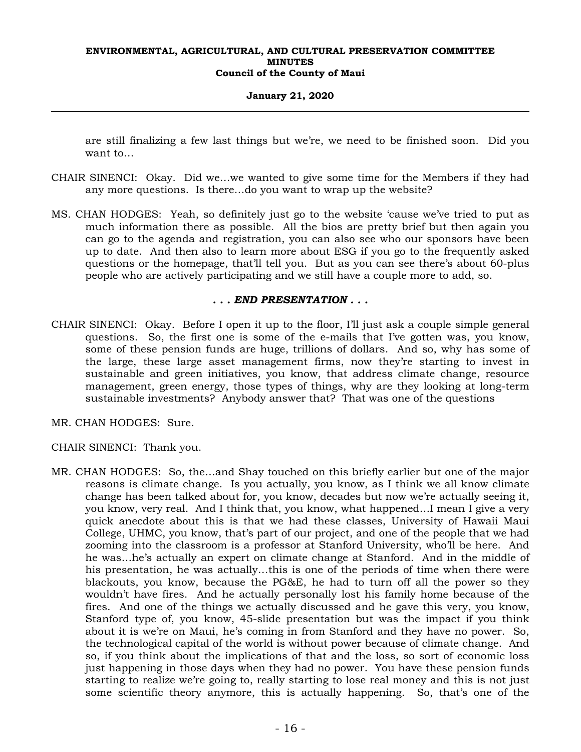### **January 21, 2020**

are still finalizing a few last things but we're, we need to be finished soon. Did you want to…

- CHAIR SINENCI: Okay. Did we…we wanted to give some time for the Members if they had any more questions. Is there…do you want to wrap up the website?
- MS. CHAN HODGES: Yeah, so definitely just go to the website 'cause we've tried to put as much information there as possible. All the bios are pretty brief but then again you can go to the agenda and registration, you can also see who our sponsors have been up to date. And then also to learn more about ESG if you go to the frequently asked questions or the homepage, that'll tell you. But as you can see there's about 60-plus people who are actively participating and we still have a couple more to add, so.

### *. . . END PRESENTATION . . .*

- CHAIR SINENCI: Okay. Before I open it up to the floor, I'll just ask a couple simple general questions. So, the first one is some of the e-mails that I've gotten was, you know, some of these pension funds are huge, trillions of dollars. And so, why has some of the large, these large asset management firms, now they're starting to invest in sustainable and green initiatives, you know, that address climate change, resource management, green energy, those types of things, why are they looking at long-term sustainable investments? Anybody answer that? That was one of the questions
- MR. CHAN HODGES: Sure.
- CHAIR SINENCI: Thank you.
- MR. CHAN HODGES: So, the…and Shay touched on this briefly earlier but one of the major reasons is climate change. Is you actually, you know, as I think we all know climate change has been talked about for, you know, decades but now we're actually seeing it, you know, very real. And I think that, you know, what happened…I mean I give a very quick anecdote about this is that we had these classes, University of Hawaii Maui College, UHMC, you know, that's part of our project, and one of the people that we had zooming into the classroom is a professor at Stanford University, who'll be here. And he was…he's actually an expert on climate change at Stanford. And in the middle of his presentation, he was actually…this is one of the periods of time when there were blackouts, you know, because the PG&E, he had to turn off all the power so they wouldn't have fires. And he actually personally lost his family home because of the fires. And one of the things we actually discussed and he gave this very, you know, Stanford type of, you know, 45-slide presentation but was the impact if you think about it is we're on Maui, he's coming in from Stanford and they have no power. So, the technological capital of the world is without power because of climate change. And so, if you think about the implications of that and the loss, so sort of economic loss just happening in those days when they had no power. You have these pension funds starting to realize we're going to, really starting to lose real money and this is not just some scientific theory anymore, this is actually happening. So, that's one of the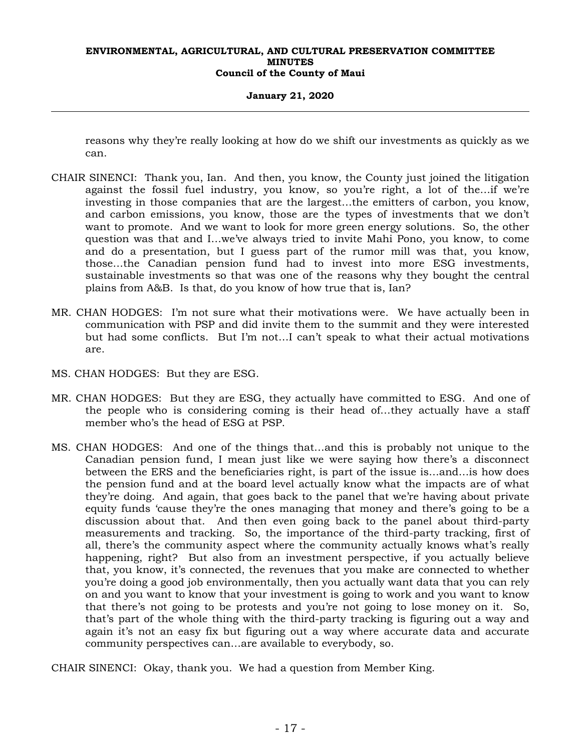### **January 21, 2020**

reasons why they're really looking at how do we shift our investments as quickly as we can.

- CHAIR SINENCI: Thank you, Ian. And then, you know, the County just joined the litigation against the fossil fuel industry, you know, so you're right, a lot of the…if we're investing in those companies that are the largest…the emitters of carbon, you know, and carbon emissions, you know, those are the types of investments that we don't want to promote. And we want to look for more green energy solutions. So, the other question was that and I…we've always tried to invite Mahi Pono, you know, to come and do a presentation, but I guess part of the rumor mill was that, you know, those…the Canadian pension fund had to invest into more ESG investments, sustainable investments so that was one of the reasons why they bought the central plains from A&B. Is that, do you know of how true that is, Ian?
- MR. CHAN HODGES: I'm not sure what their motivations were. We have actually been in communication with PSP and did invite them to the summit and they were interested but had some conflicts. But I'm not…I can't speak to what their actual motivations are.
- MS. CHAN HODGES: But they are ESG.
- MR. CHAN HODGES: But they are ESG, they actually have committed to ESG. And one of the people who is considering coming is their head of…they actually have a staff member who's the head of ESG at PSP.
- MS. CHAN HODGES: And one of the things that…and this is probably not unique to the Canadian pension fund, I mean just like we were saying how there's a disconnect between the ERS and the beneficiaries right, is part of the issue is…and…is how does the pension fund and at the board level actually know what the impacts are of what they're doing. And again, that goes back to the panel that we're having about private equity funds 'cause they're the ones managing that money and there's going to be a discussion about that. And then even going back to the panel about third-party measurements and tracking. So, the importance of the third-party tracking, first of all, there's the community aspect where the community actually knows what's really happening, right? But also from an investment perspective, if you actually believe that, you know, it's connected, the revenues that you make are connected to whether you're doing a good job environmentally, then you actually want data that you can rely on and you want to know that your investment is going to work and you want to know that there's not going to be protests and you're not going to lose money on it. So, that's part of the whole thing with the third-party tracking is figuring out a way and again it's not an easy fix but figuring out a way where accurate data and accurate community perspectives can…are available to everybody, so.
- CHAIR SINENCI: Okay, thank you. We had a question from Member King.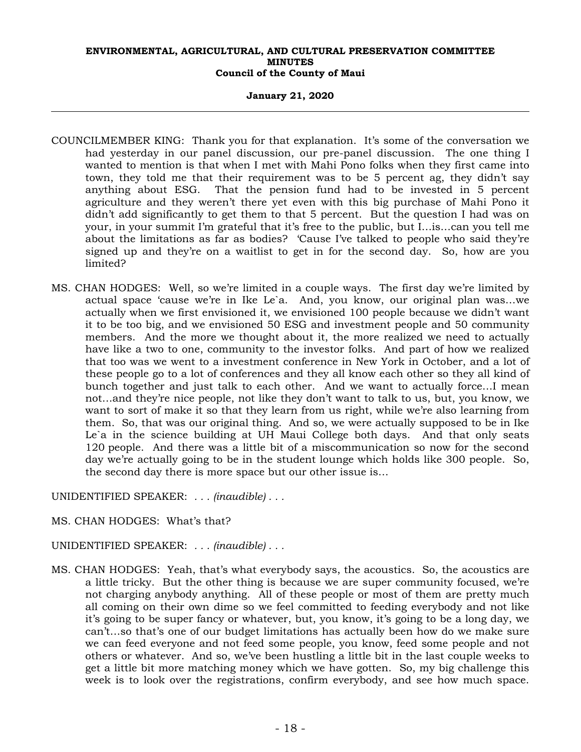### **January 21, 2020**

- COUNCILMEMBER KING: Thank you for that explanation. It's some of the conversation we had yesterday in our panel discussion, our pre-panel discussion. The one thing I wanted to mention is that when I met with Mahi Pono folks when they first came into town, they told me that their requirement was to be 5 percent ag, they didn't say anything about ESG. That the pension fund had to be invested in 5 percent agriculture and they weren't there yet even with this big purchase of Mahi Pono it didn't add significantly to get them to that 5 percent. But the question I had was on your, in your summit I'm grateful that it's free to the public, but I…is…can you tell me about the limitations as far as bodies? 'Cause I've talked to people who said they're signed up and they're on a waitlist to get in for the second day. So, how are you limited?
- MS. CHAN HODGES: Well, so we're limited in a couple ways. The first day we're limited by actual space 'cause we're in Ike Le`a. And, you know, our original plan was…we actually when we first envisioned it, we envisioned 100 people because we didn't want it to be too big, and we envisioned 50 ESG and investment people and 50 community members. And the more we thought about it, the more realized we need to actually have like a two to one, community to the investor folks. And part of how we realized that too was we went to a investment conference in New York in October, and a lot of these people go to a lot of conferences and they all know each other so they all kind of bunch together and just talk to each other. And we want to actually force…I mean not…and they're nice people, not like they don't want to talk to us, but, you know, we want to sort of make it so that they learn from us right, while we're also learning from them. So, that was our original thing. And so, we were actually supposed to be in Ike Le`a in the science building at UH Maui College both days. And that only seats 120 people. And there was a little bit of a miscommunication so now for the second day we're actually going to be in the student lounge which holds like 300 people. So, the second day there is more space but our other issue is…

UNIDENTIFIED SPEAKER: *. . . (inaudible) . . .*

MS. CHAN HODGES: What's that?

### UNIDENTIFIED SPEAKER: *. . . (inaudible) . . .*

MS. CHAN HODGES: Yeah, that's what everybody says, the acoustics. So, the acoustics are a little tricky. But the other thing is because we are super community focused, we're not charging anybody anything. All of these people or most of them are pretty much all coming on their own dime so we feel committed to feeding everybody and not like it's going to be super fancy or whatever, but, you know, it's going to be a long day, we can't…so that's one of our budget limitations has actually been how do we make sure we can feed everyone and not feed some people, you know, feed some people and not others or whatever. And so, we've been hustling a little bit in the last couple weeks to get a little bit more matching money which we have gotten. So, my big challenge this week is to look over the registrations, confirm everybody, and see how much space.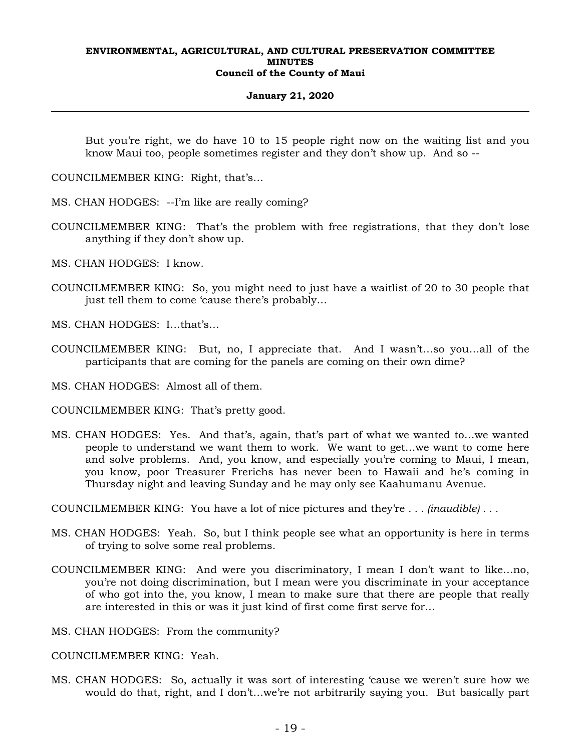### **January 21, 2020**

But you're right, we do have 10 to 15 people right now on the waiting list and you know Maui too, people sometimes register and they don't show up. And so --

COUNCILMEMBER KING: Right, that's…

MS. CHAN HODGES: --I'm like are really coming?

- COUNCILMEMBER KING: That's the problem with free registrations, that they don't lose anything if they don't show up.
- MS. CHAN HODGES: I know.
- COUNCILMEMBER KING: So, you might need to just have a waitlist of 20 to 30 people that just tell them to come 'cause there's probably…

MS. CHAN HODGES: I…that's…

- COUNCILMEMBER KING: But, no, I appreciate that. And I wasn't…so you…all of the participants that are coming for the panels are coming on their own dime?
- MS. CHAN HODGES: Almost all of them.

COUNCILMEMBER KING: That's pretty good.

MS. CHAN HODGES: Yes. And that's, again, that's part of what we wanted to…we wanted people to understand we want them to work. We want to get…we want to come here and solve problems. And, you know, and especially you're coming to Maui, I mean, you know, poor Treasurer Frerichs has never been to Hawaii and he's coming in Thursday night and leaving Sunday and he may only see Kaahumanu Avenue.

COUNCILMEMBER KING: You have a lot of nice pictures and they're *. . . (inaudible) . . .*

- MS. CHAN HODGES: Yeah. So, but I think people see what an opportunity is here in terms of trying to solve some real problems.
- COUNCILMEMBER KING: And were you discriminatory, I mean I don't want to like…no, you're not doing discrimination, but I mean were you discriminate in your acceptance of who got into the, you know, I mean to make sure that there are people that really are interested in this or was it just kind of first come first serve for…

MS. CHAN HODGES: From the community?

COUNCILMEMBER KING: Yeah.

MS. CHAN HODGES: So, actually it was sort of interesting 'cause we weren't sure how we would do that, right, and I don't…we're not arbitrarily saying you. But basically part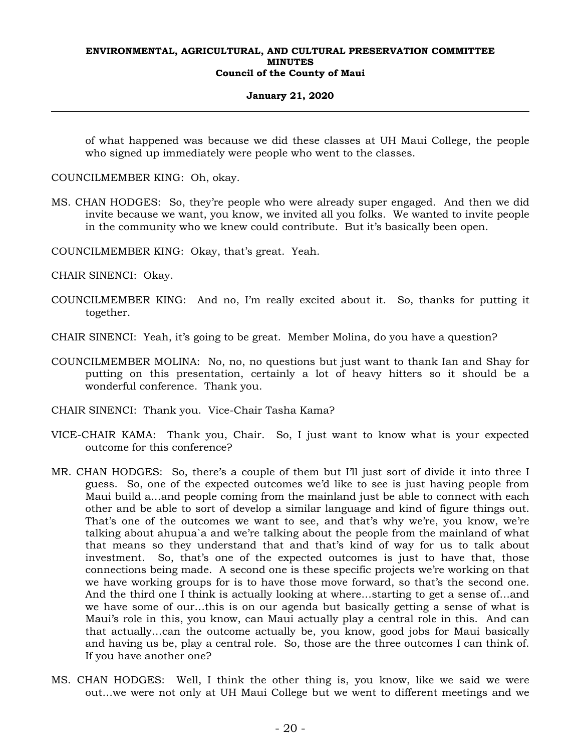### **January 21, 2020**

of what happened was because we did these classes at UH Maui College, the people who signed up immediately were people who went to the classes.

COUNCILMEMBER KING: Oh, okay.

- MS. CHAN HODGES: So, they're people who were already super engaged. And then we did invite because we want, you know, we invited all you folks. We wanted to invite people in the community who we knew could contribute. But it's basically been open.
- COUNCILMEMBER KING: Okay, that's great. Yeah.

CHAIR SINENCI: Okay.

- COUNCILMEMBER KING: And no, I'm really excited about it. So, thanks for putting it together.
- CHAIR SINENCI: Yeah, it's going to be great. Member Molina, do you have a question?
- COUNCILMEMBER MOLINA: No, no, no questions but just want to thank Ian and Shay for putting on this presentation, certainly a lot of heavy hitters so it should be a wonderful conference. Thank you.
- CHAIR SINENCI: Thank you. Vice-Chair Tasha Kama?
- VICE-CHAIR KAMA: Thank you, Chair. So, I just want to know what is your expected outcome for this conference?
- MR. CHAN HODGES: So, there's a couple of them but I'll just sort of divide it into three I guess. So, one of the expected outcomes we'd like to see is just having people from Maui build a…and people coming from the mainland just be able to connect with each other and be able to sort of develop a similar language and kind of figure things out. That's one of the outcomes we want to see, and that's why we're, you know, we're talking about ahupua`a and we're talking about the people from the mainland of what that means so they understand that and that's kind of way for us to talk about investment. So, that's one of the expected outcomes is just to have that, those connections being made. A second one is these specific projects we're working on that we have working groups for is to have those move forward, so that's the second one. And the third one I think is actually looking at where…starting to get a sense of…and we have some of our…this is on our agenda but basically getting a sense of what is Maui's role in this, you know, can Maui actually play a central role in this. And can that actually…can the outcome actually be, you know, good jobs for Maui basically and having us be, play a central role. So, those are the three outcomes I can think of. If you have another one?
- MS. CHAN HODGES: Well, I think the other thing is, you know, like we said we were out…we were not only at UH Maui College but we went to different meetings and we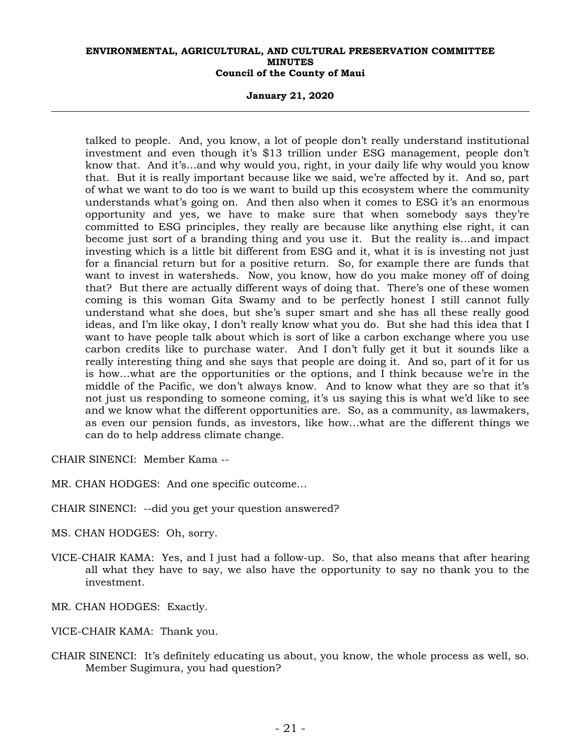**January 21, 2020** 

talked to people. And, you know, a lot of people don't really understand institutional investment and even though it's \$13 trillion under ESG management, people don't know that. And it's…and why would you, right, in your daily life why would you know that. But it is really important because like we said, we're affected by it. And so, part of what we want to do too is we want to build up this ecosystem where the community understands what's going on. And then also when it comes to ESG it's an enormous opportunity and yes, we have to make sure that when somebody says they're committed to ESG principles, they really are because like anything else right, it can become just sort of a branding thing and you use it. But the reality is…and impact investing which is a little bit different from ESG and it, what it is is investing not just for a financial return but for a positive return. So, for example there are funds that want to invest in watersheds. Now, you know, how do you make money off of doing that? But there are actually different ways of doing that. There's one of these women coming is this woman Gita Swamy and to be perfectly honest I still cannot fully understand what she does, but she's super smart and she has all these really good ideas, and I'm like okay, I don't really know what you do. But she had this idea that I want to have people talk about which is sort of like a carbon exchange where you use carbon credits like to purchase water. And I don't fully get it but it sounds like a really interesting thing and she says that people are doing it. And so, part of it for us is how…what are the opportunities or the options, and I think because we're in the middle of the Pacific, we don't always know. And to know what they are so that it's not just us responding to someone coming, it's us saying this is what we'd like to see and we know what the different opportunities are. So, as a community, as lawmakers, as even our pension funds, as investors, like how…what are the different things we can do to help address climate change.

CHAIR SINENCI: Member Kama --

MR. CHAN HODGES: And one specific outcome…

CHAIR SINENCI: --did you get your question answered?

MS. CHAN HODGES: Oh, sorry.

- VICE-CHAIR KAMA: Yes, and I just had a follow-up. So, that also means that after hearing all what they have to say, we also have the opportunity to say no thank you to the investment.
- MR. CHAN HODGES: Exactly.
- VICE-CHAIR KAMA: Thank you.
- CHAIR SINENCI: It's definitely educating us about, you know, the whole process as well, so. Member Sugimura, you had question?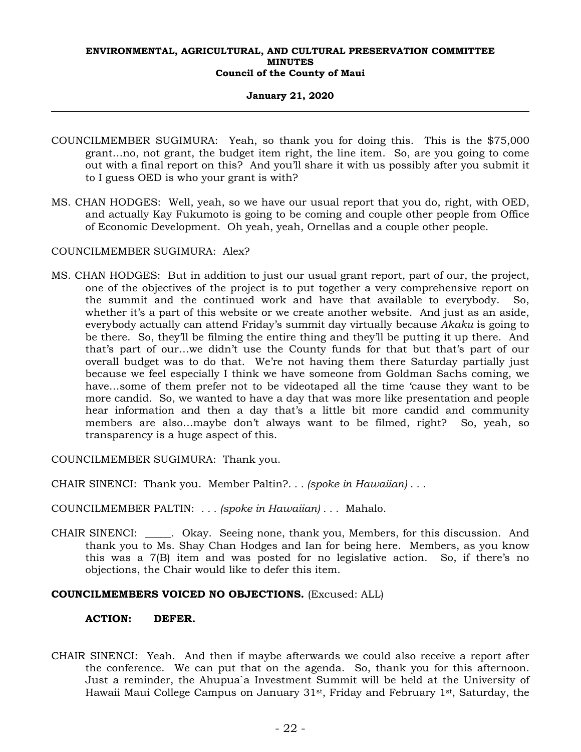### **January 21, 2020**

- COUNCILMEMBER SUGIMURA: Yeah, so thank you for doing this. This is the \$75,000 grant…no, not grant, the budget item right, the line item. So, are you going to come out with a final report on this? And you'll share it with us possibly after you submit it to I guess OED is who your grant is with?
- MS. CHAN HODGES: Well, yeah, so we have our usual report that you do, right, with OED, and actually Kay Fukumoto is going to be coming and couple other people from Office of Economic Development. Oh yeah, yeah, Ornellas and a couple other people.

COUNCILMEMBER SUGIMURA: Alex?

MS. CHAN HODGES: But in addition to just our usual grant report, part of our, the project, one of the objectives of the project is to put together a very comprehensive report on the summit and the continued work and have that available to everybody. So, whether it's a part of this website or we create another website. And just as an aside, everybody actually can attend Friday's summit day virtually because *Akaku* is going to be there. So, they'll be filming the entire thing and they'll be putting it up there. And that's part of our…we didn't use the County funds for that but that's part of our overall budget was to do that. We're not having them there Saturday partially just because we feel especially I think we have someone from Goldman Sachs coming, we have…some of them prefer not to be videotaped all the time 'cause they want to be more candid. So, we wanted to have a day that was more like presentation and people hear information and then a day that's a little bit more candid and community members are also…maybe don't always want to be filmed, right? So, yeah, so transparency is a huge aspect of this.

COUNCILMEMBER SUGIMURA: Thank you.

CHAIR SINENCI: Thank you. Member Paltin?*. . . (spoke in Hawaiian) . . .*

COUNCILMEMBER PALTIN: *. . . (spoke in Hawaiian) . . .* Mahalo.

CHAIR SINENCI: \_\_\_\_\_. Okay. Seeing none, thank you, Members, for this discussion. And thank you to Ms. Shay Chan Hodges and Ian for being here. Members, as you know this was a 7(B) item and was posted for no legislative action. So, if there's no objections, the Chair would like to defer this item.

### **COUNCILMEMBERS VOICED NO OBJECTIONS.** (Excused: ALL)

### **ACTION: DEFER.**

CHAIR SINENCI: Yeah. And then if maybe afterwards we could also receive a report after the conference. We can put that on the agenda. So, thank you for this afternoon. Just a reminder, the Ahupua`a Investment Summit will be held at the University of Hawaii Maui College Campus on January 31st, Friday and February 1st, Saturday, the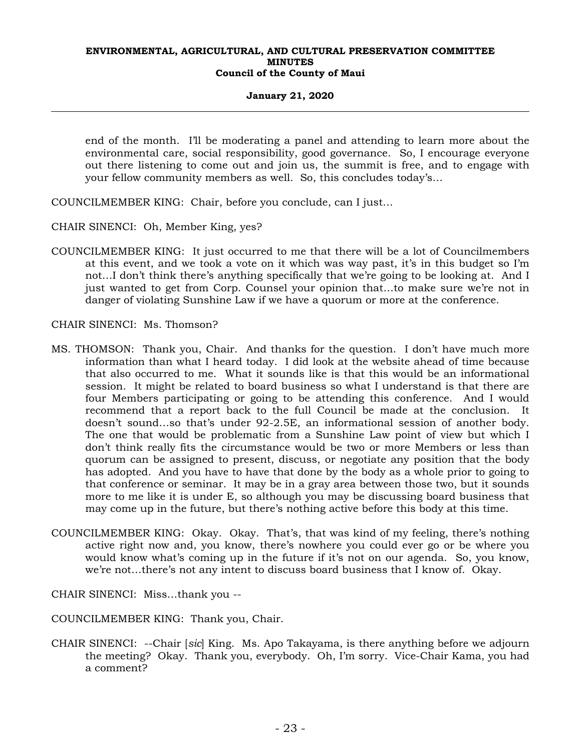### **January 21, 2020**

end of the month. I'll be moderating a panel and attending to learn more about the environmental care, social responsibility, good governance. So, I encourage everyone out there listening to come out and join us, the summit is free, and to engage with your fellow community members as well. So, this concludes today's…

COUNCILMEMBER KING: Chair, before you conclude, can I just…

CHAIR SINENCI: Oh, Member King, yes?

COUNCILMEMBER KING: It just occurred to me that there will be a lot of Councilmembers at this event, and we took a vote on it which was way past, it's in this budget so I'm not…I don't think there's anything specifically that we're going to be looking at. And I just wanted to get from Corp. Counsel your opinion that…to make sure we're not in danger of violating Sunshine Law if we have a quorum or more at the conference.

CHAIR SINENCI: Ms. Thomson?

- MS. THOMSON: Thank you, Chair. And thanks for the question. I don't have much more information than what I heard today. I did look at the website ahead of time because that also occurred to me. What it sounds like is that this would be an informational session. It might be related to board business so what I understand is that there are four Members participating or going to be attending this conference. And I would recommend that a report back to the full Council be made at the conclusion. It doesn't sound…so that's under 92-2.5E, an informational session of another body. The one that would be problematic from a Sunshine Law point of view but which I don't think really fits the circumstance would be two or more Members or less than quorum can be assigned to present, discuss, or negotiate any position that the body has adopted. And you have to have that done by the body as a whole prior to going to that conference or seminar. It may be in a gray area between those two, but it sounds more to me like it is under E, so although you may be discussing board business that may come up in the future, but there's nothing active before this body at this time.
- COUNCILMEMBER KING: Okay. Okay. That's, that was kind of my feeling, there's nothing active right now and, you know, there's nowhere you could ever go or be where you would know what's coming up in the future if it's not on our agenda. So, you know, we're not…there's not any intent to discuss board business that I know of. Okay.

CHAIR SINENCI: Miss…thank you --

COUNCILMEMBER KING: Thank you, Chair.

CHAIR SINENCI: --Chair [*sic*] King. Ms. Apo Takayama, is there anything before we adjourn the meeting? Okay. Thank you, everybody. Oh, I'm sorry. Vice-Chair Kama, you had a comment?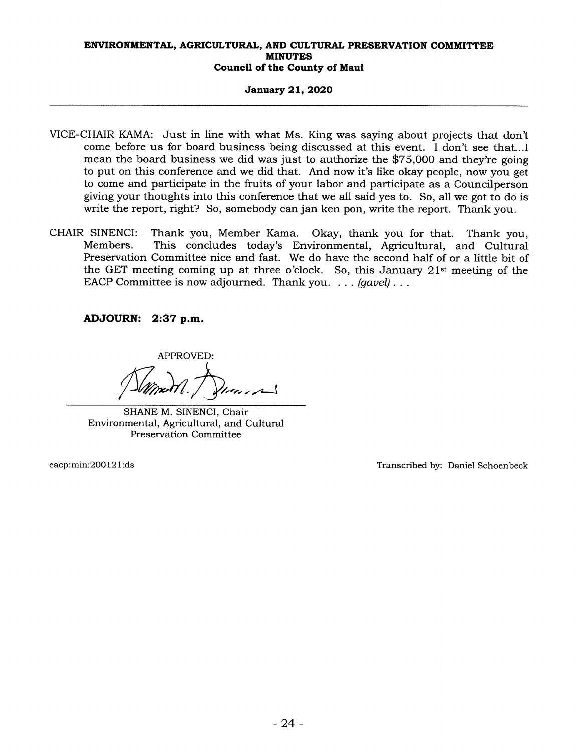### January 21, 2020

- VICE-CHAIR KAMA: Just in line with what Ms. King was saying about projects that don't come before us for board business being discussed at this event. <sup>I</sup> don't see that... <sup>I</sup> mean the board business we did was just to authorize the \$75,000 and they're going to put on this conference and we did that. And now it's like okay people, now you get to come and participate in the fruits of your labor and participate as a Councilperson giving your thoughts into this conference that we all said yes to. So, all we got to do is write the report, right? So, somebody can jan ken pon, write the report. Thank you.
- CHAIR SINENCI: Thank you, Member Kama. Okay, thank you for that. Thank you, Members. This concludes today's Environmental, Agricultural, and Cultural Preservation Committee nice and fast. We do have the second half of or a little bit of the GET meeting coming up at three o'clock. So, this January 21st meeting of the EACP Committee is now adjourned. Thank you. . . . (gavel)...

ADJOURN: 2:37 p.m.

APPROVED: -

SHANE M. SINENCI, Chair Environmental, Agricultural, and Cultural Preservation Committee

eacp:min:200121:ds Transcribed by: Daniel Schoenbeck